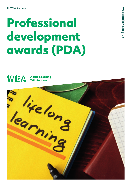## Professional development awards (PDA)